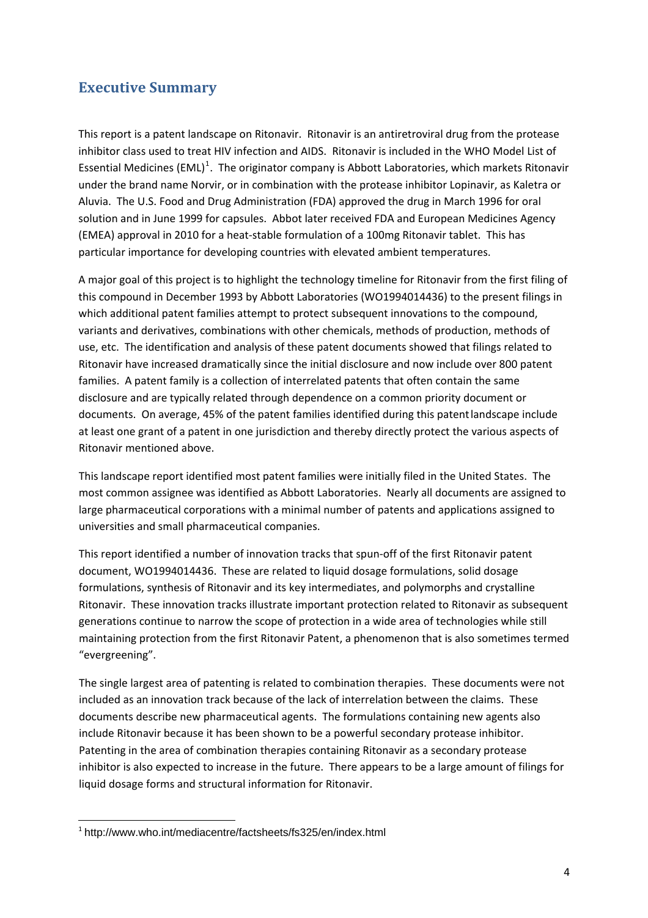## **Executive Summary**

This report is a patent landscape on Ritonavir. Ritonavir is an antiretroviral drug from the protease inhibitor class used to treat HIV infection and AIDS. Ritonavir is included in the WHO Model List of Essential Medicines (EML)<sup>[1](#page-0-0)</sup>. The originator company is Abbott Laboratories, which markets Ritonavir under the brand name Norvir, or in combination with the protease inhibitor Lopinavir, as Kaletra or Aluvia. The U.S. Food and Drug Administration (FDA) approved the drug in March 1996 for oral solution and in June 1999 for capsules. Abbot later received FDA and European Medicines Agency (EMEA) approval in 2010 for a heat‐stable formulation of a 100mg Ritonavir tablet. This has particular importance for developing countries with elevated ambient temperatures.

A major goal of this project is to highlight the technology timeline for Ritonavir from the first filing of this compound in December 1993 by Abbott Laboratories (WO1994014436) to the present filings in which additional patent families attempt to protect subsequent innovations to the compound, variants and derivatives, combinations with other chemicals, methods of production, methods of use, etc. The identification and analysis of these patent documents showed that filings related to Ritonavir have increased dramatically since the initial disclosure and now include over 800 patent families. A patent family is a collection of interrelated patents that often contain the same disclosure and are typically related through dependence on a common priority document or documents. On average, 45% of the patent families identified during this patentlandscape include at least one grant of a patent in one jurisdiction and thereby directly protect the various aspects of Ritonavir mentioned above.

This landscape report identified most patent families were initially filed in the United States. The most common assignee was identified as Abbott Laboratories. Nearly all documents are assigned to large pharmaceutical corporations with a minimal number of patents and applications assigned to universities and small pharmaceutical companies.

This report identified a number of innovation tracks that spun‐off of the first Ritonavir patent document, WO1994014436. These are related to liquid dosage formulations, solid dosage formulations, synthesis of Ritonavir and its key intermediates, and polymorphs and crystalline Ritonavir. These innovation tracks illustrate important protection related to Ritonavir as subsequent generations continue to narrow the scope of protection in a wide area of technologies while still maintaining protection from the first Ritonavir Patent, a phenomenon that is also sometimes termed "evergreening".

The single largest area of patenting is related to combination therapies. These documents were not included as an innovation track because of the lack of interrelation between the claims. These documents describe new pharmaceutical agents. The formulations containing new agents also include Ritonavir because it has been shown to be a powerful secondary protease inhibitor. Patenting in the area of combination therapies containing Ritonavir as a secondary protease inhibitor is also expected to increase in the future. There appears to be a large amount of filings for liquid dosage forms and structural information for Ritonavir.

<span id="page-0-0"></span> $1$  http://www.who.int/mediacentre/factsheets/fs325/en/index.html